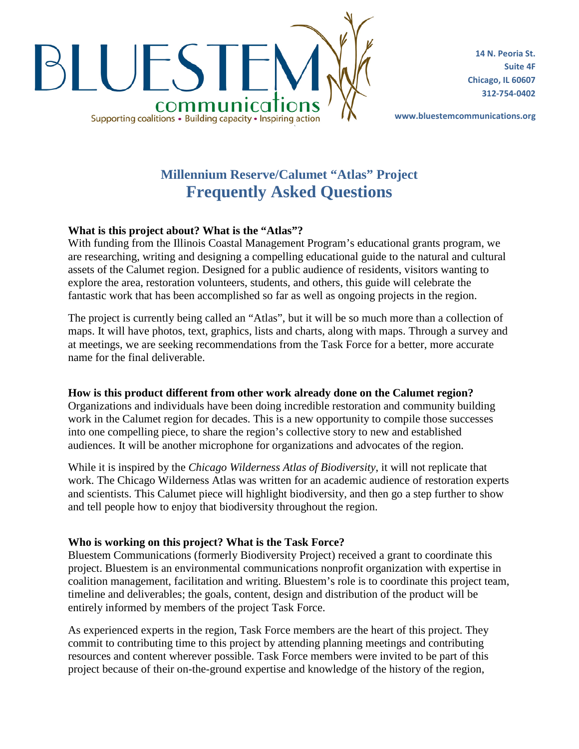

**14 N. Peoria St. Suite 4F Chicago, IL 60607 312-754-0402**

**www.bluestemcommunications.org**

# **Millennium Reserve/Calumet "Atlas" Project Frequently Asked Questions**

## **What is this project about? What is the "Atlas"?**

With funding from the Illinois Coastal Management Program's educational grants program, we are researching, writing and designing a compelling educational guide to the natural and cultural assets of the Calumet region. Designed for a public audience of residents, visitors wanting to explore the area, restoration volunteers, students, and others, this guide will celebrate the fantastic work that has been accomplished so far as well as ongoing projects in the region.

The project is currently being called an "Atlas", but it will be so much more than a collection of maps. It will have photos, text, graphics, lists and charts, along with maps. Through a survey and at meetings, we are seeking recommendations from the Task Force for a better, more accurate name for the final deliverable.

## **How is this product different from other work already done on the Calumet region?**

Organizations and individuals have been doing incredible restoration and community building work in the Calumet region for decades. This is a new opportunity to compile those successes into one compelling piece, to share the region's collective story to new and established audiences. It will be another microphone for organizations and advocates of the region.

While it is inspired by the *Chicago Wilderness Atlas of Biodiversity*, it will not replicate that work. The Chicago Wilderness Atlas was written for an academic audience of restoration experts and scientists. This Calumet piece will highlight biodiversity, and then go a step further to show and tell people how to enjoy that biodiversity throughout the region.

## **Who is working on this project? What is the Task Force?**

Bluestem Communications (formerly Biodiversity Project) received a grant to coordinate this project. Bluestem is an environmental communications nonprofit organization with expertise in coalition management, facilitation and writing. Bluestem's role is to coordinate this project team, timeline and deliverables; the goals, content, design and distribution of the product will be entirely informed by members of the project Task Force.

As experienced experts in the region, Task Force members are the heart of this project. They commit to contributing time to this project by attending planning meetings and contributing resources and content wherever possible. Task Force members were invited to be part of this project because of their on-the-ground expertise and knowledge of the history of the region,